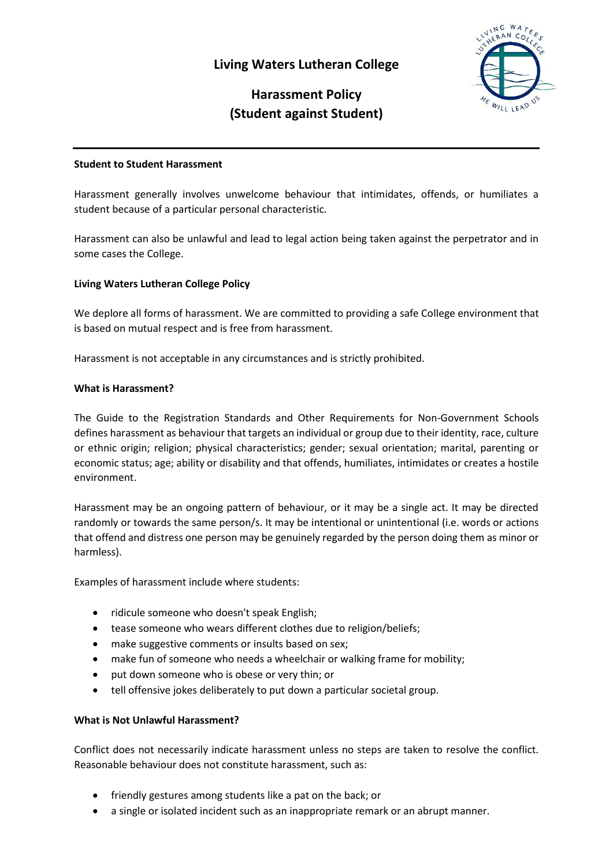# **Living Waters Lutheran College**



# **Harassment Policy (Student against Student)**

#### **Student to Student Harassment**

Harassment generally involves unwelcome behaviour that intimidates, offends, or humiliates a student because of a particular personal characteristic.

Harassment can also be unlawful and lead to legal action being taken against the perpetrator and in some cases the College.

## **Living Waters Lutheran College Policy**

We deplore all forms of harassment. We are committed to providing a safe College environment that is based on mutual respect and is free from harassment.

Harassment is not acceptable in any circumstances and is strictly prohibited.

#### **What is Harassment?**

The Guide to the Registration Standards and Other Requirements for Non-Government Schools defines harassment as behaviour that targets an individual or group due to their identity, race, culture or ethnic origin; religion; physical characteristics; gender; sexual orientation; marital, parenting or economic status; age; ability or disability and that offends, humiliates, intimidates or creates a hostile environment.

Harassment may be an ongoing pattern of behaviour, or it may be a single act. It may be directed randomly or towards the same person/s. It may be intentional or unintentional (i.e. words or actions that offend and distress one person may be genuinely regarded by the person doing them as minor or harmless).

Examples of harassment include where students:

- ridicule someone who doesn't speak English;
- tease someone who wears different clothes due to religion/beliefs;
- make suggestive comments or insults based on sex;
- make fun of someone who needs a wheelchair or walking frame for mobility;
- put down someone who is obese or very thin; or
- tell offensive jokes deliberately to put down a particular societal group.

#### **What is Not Unlawful Harassment?**

Conflict does not necessarily indicate harassment unless no steps are taken to resolve the conflict. Reasonable behaviour does not constitute harassment, such as:

- friendly gestures among students like a pat on the back; or
- a single or isolated incident such as an inappropriate remark or an abrupt manner.